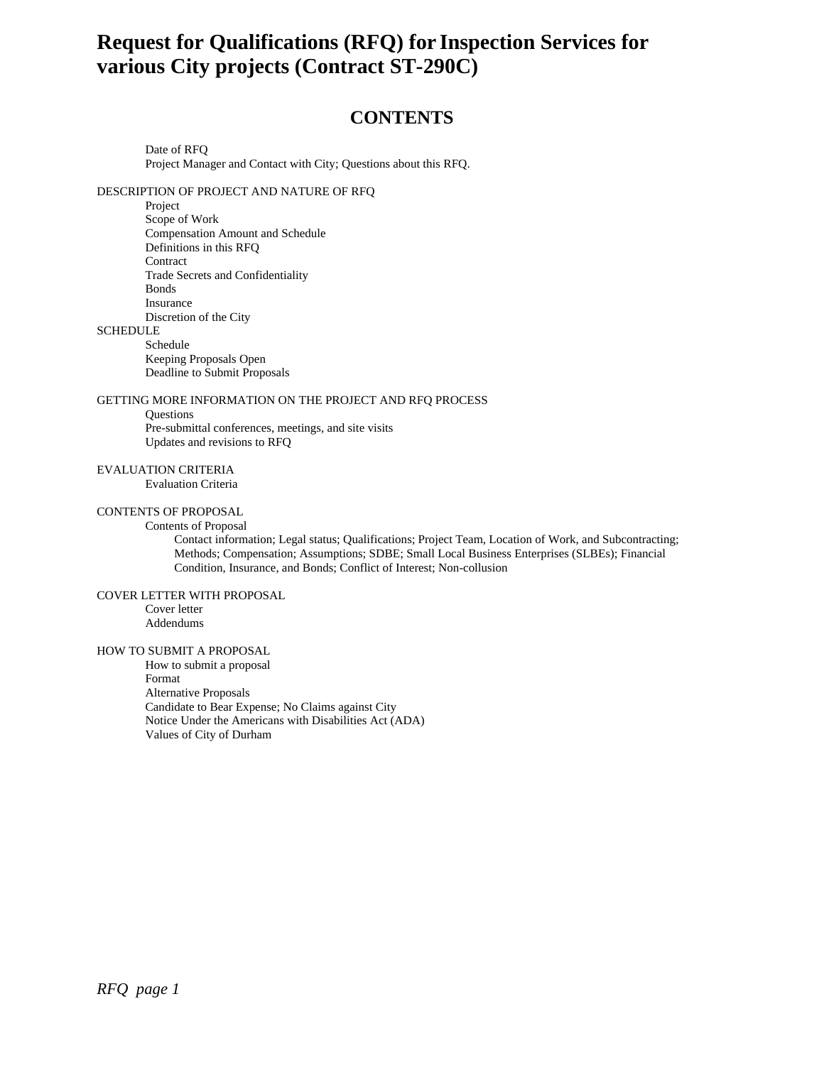# **Request for Qualifications (RFQ) for Inspection Services for various City projects (Contract ST-290C)**

# **CONTENTS**

Date of RFQ Project Manager and Contact with City; Questions about this RFQ.

DESCRIPTION OF PROJECT AND NATURE OF RFQ

Project

Scope of Work Compensation Amount and Schedule Definitions in this RFQ **Contract** Trade Secrets and Confidentiality Bonds Insurance Discretion of the City

# **SCHEDULE**

Schedule Keeping Proposals Open

Deadline to Submit Proposals

GETTING MORE INFORMATION ON THE PROJECT AND RFQ PROCESS

#### **Questions**

Pre-submittal conferences, meetings, and site visits Updates and revisions to RFQ

# EVALUATION CRITERIA

Evaluation Criteria

# CONTENTS OF PROPOSAL

Contents of Proposal

Contact information; Legal status; Qualifications; Project Team, Location of Work, and Subcontracting; Methods; Compensation; Assumptions; SDBE; Small Local Business Enterprises (SLBEs); Financial Condition, Insurance, and Bonds; Conflict of Interest; Non-collusion

# COVER LETTER WITH PROPOSAL

Cover letter Addendums

#### HOW TO SUBMIT A PROPOSAL

How to submit a proposal Format Alternative Proposals Candidate to Bear Expense; No Claims against City Notice Under the Americans with Disabilities Act (ADA) Values of City of Durham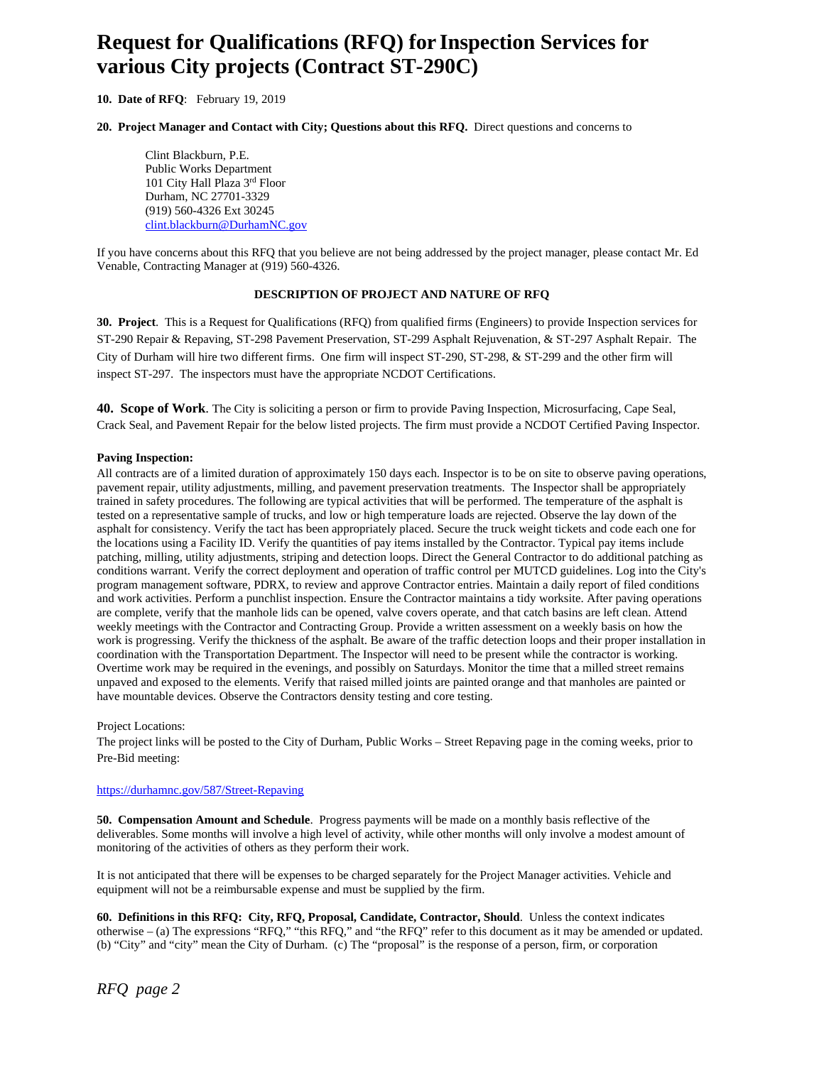# **Request for Qualifications (RFQ) for Inspection Services for various City projects (Contract ST-290C)**

### **10. Date of RFQ**: February 19, 2019

#### **20. Project Manager and Contact with City; Questions about this RFQ.** Direct questions and concerns to

Clint Blackburn, P.E. Public Works Department 101 City Hall Plaza 3rd Floor Durham, NC 27701-3329 (919) 560-4326 Ext 30245 clint.blackburn@DurhamNC.gov

If you have concerns about this RFQ that you believe are not being addressed by the project manager, please contact Mr. Ed Venable, Contracting Manager at (919) 560-4326.

#### **DESCRIPTION OF PROJECT AND NATURE OF RFQ**

**30. Project**. This is a Request for Qualifications (RFQ) from qualified firms (Engineers) to provide Inspection services for ST-290 Repair & Repaving, ST-298 Pavement Preservation, ST-299 Asphalt Rejuvenation, & ST-297 Asphalt Repair. The City of Durham will hire two different firms. One firm will inspect ST-290, ST-298, & ST-299 and the other firm will inspect ST-297. The inspectors must have the appropriate NCDOT Certifications.

**40. Scope of Work**. The City is soliciting a person or firm to provide Paving Inspection, Microsurfacing, Cape Seal, Crack Seal, and Pavement Repair for the below listed projects. The firm must provide a NCDOT Certified Paving Inspector.

#### **Paving Inspection:**

All contracts are of a limited duration of approximately 150 days each. Inspector is to be on site to observe paving operations, pavement repair, utility adjustments, milling, and pavement preservation treatments. The Inspector shall be appropriately trained in safety procedures. The following are typical activities that will be performed. The temperature of the asphalt is tested on a representative sample of trucks, and low or high temperature loads are rejected. Observe the lay down of the asphalt for consistency. Verify the tact has been appropriately placed. Secure the truck weight tickets and code each one for the locations using a Facility ID. Verify the quantities of pay items installed by the Contractor. Typical pay items include patching, milling, utility adjustments, striping and detection loops. Direct the General Contractor to do additional patching as conditions warrant. Verify the correct deployment and operation of traffic control per MUTCD guidelines. Log into the City's program management software, PDRX, to review and approve Contractor entries. Maintain a daily report of filed conditions and work activities. Perform a punchlist inspection. Ensure the Contractor maintains a tidy worksite. After paving operations are complete, verify that the manhole lids can be opened, valve covers operate, and that catch basins are left clean. Attend weekly meetings with the Contractor and Contracting Group. Provide a written assessment on a weekly basis on how the work is progressing. Verify the thickness of the asphalt. Be aware of the traffic detection loops and their proper installation in coordination with the Transportation Department. The Inspector will need to be present while the contractor is working. Overtime work may be required in the evenings, and possibly on Saturdays. Monitor the time that a milled street remains unpaved and exposed to the elements. Verify that raised milled joints are painted orange and that manholes are painted or have mountable devices. Observe the Contractors density testing and core testing.

#### Project Locations:

The project links will be posted to the City of Durham, Public Works – Street Repaving page in the coming weeks, prior to Pre-Bid meeting:

# https://durhamnc.gov/587/Street-Repaving

**50. Compensation Amount and Schedule**. Progress payments will be made on a monthly basis reflective of the deliverables. Some months will involve a high level of activity, while other months will only involve a modest amount of monitoring of the activities of others as they perform their work.

It is not anticipated that there will be expenses to be charged separately for the Project Manager activities. Vehicle and equipment will not be a reimbursable expense and must be supplied by the firm.

**60. Definitions in this RFQ: City, RFQ, Proposal, Candidate, Contractor, Should**. Unless the context indicates otherwise – (a) The expressions "RFQ," "this RFQ," and "the RFQ" refer to this document as it may be amended or updated. (b) "City" and "city" mean the City of Durham. (c) The "proposal" is the response of a person, firm, or corporation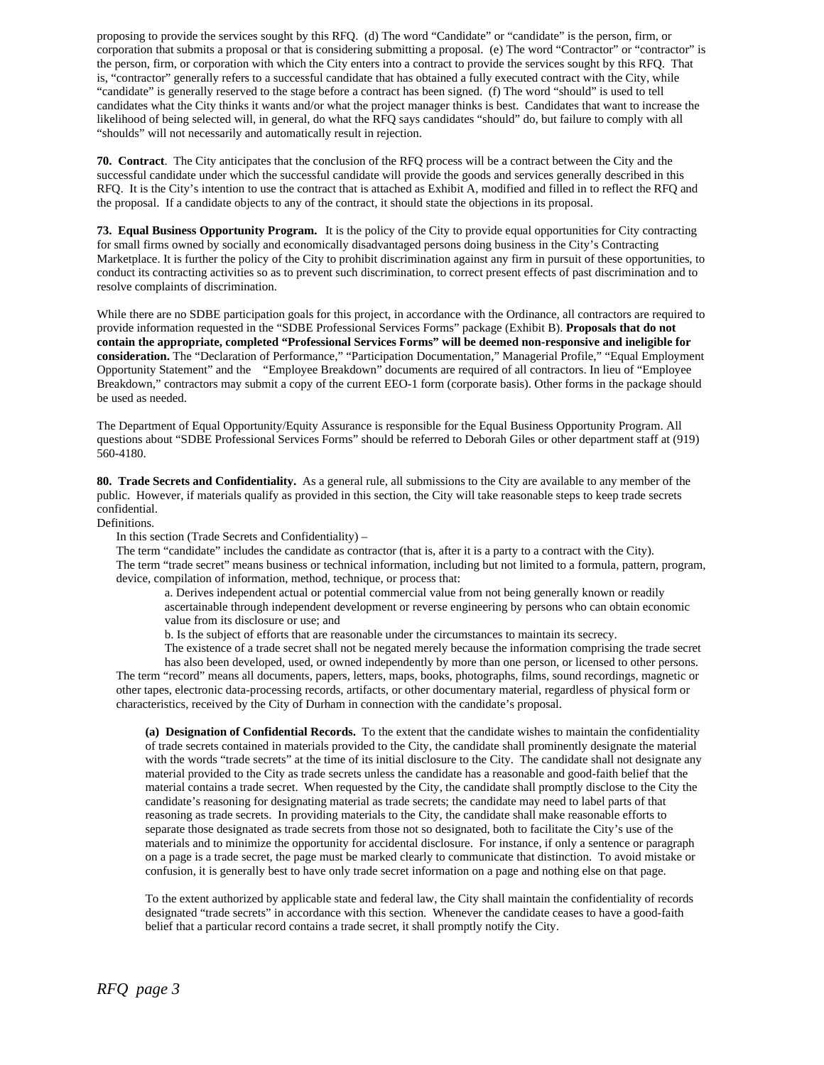proposing to provide the services sought by this RFQ. (d) The word "Candidate" or "candidate" is the person, firm, or corporation that submits a proposal or that is considering submitting a proposal. (e) The word "Contractor" or "contractor" is the person, firm, or corporation with which the City enters into a contract to provide the services sought by this RFQ. That is, "contractor" generally refers to a successful candidate that has obtained a fully executed contract with the City, while "candidate" is generally reserved to the stage before a contract has been signed. (f) The word "should" is used to tell candidates what the City thinks it wants and/or what the project manager thinks is best. Candidates that want to increase the likelihood of being selected will, in general, do what the RFQ says candidates "should" do, but failure to comply with all "shoulds" will not necessarily and automatically result in rejection.

**70. Contract**. The City anticipates that the conclusion of the RFQ process will be a contract between the City and the successful candidate under which the successful candidate will provide the goods and services generally described in this RFQ. It is the City's intention to use the contract that is attached as Exhibit A, modified and filled in to reflect the RFQ and the proposal. If a candidate objects to any of the contract, it should state the objections in its proposal.

**73. Equal Business Opportunity Program.** It is the policy of the City to provide equal opportunities for City contracting for small firms owned by socially and economically disadvantaged persons doing business in the City's Contracting Marketplace. It is further the policy of the City to prohibit discrimination against any firm in pursuit of these opportunities, to conduct its contracting activities so as to prevent such discrimination, to correct present effects of past discrimination and to resolve complaints of discrimination.

While there are no SDBE participation goals for this project, in accordance with the Ordinance, all contractors are required to provide information requested in the "SDBE Professional Services Forms" package (Exhibit B). **Proposals that do not contain the appropriate, completed "Professional Services Forms" will be deemed non-responsive and ineligible for consideration.** The "Declaration of Performance," "Participation Documentation," Managerial Profile," "Equal Employment Opportunity Statement" and the "Employee Breakdown" documents are required of all contractors. In lieu of "Employee Breakdown," contractors may submit a copy of the current EEO-1 form (corporate basis). Other forms in the package should be used as needed.

The Department of Equal Opportunity/Equity Assurance is responsible for the Equal Business Opportunity Program. All questions about "SDBE Professional Services Forms" should be referred to Deborah Giles or other department staff at (919) 560-4180.

**80. Trade Secrets and Confidentiality.** As a general rule, all submissions to the City are available to any member of the public. However, if materials qualify as provided in this section, the City will take reasonable steps to keep trade secrets confidential.

#### Definitions.

In this section (Trade Secrets and Confidentiality) –

The term "candidate" includes the candidate as contractor (that is, after it is a party to a contract with the City). The term "trade secret" means business or technical information, including but not limited to a formula, pattern, program, device, compilation of information, method, technique, or process that:

a. Derives independent actual or potential commercial value from not being generally known or readily ascertainable through independent development or reverse engineering by persons who can obtain economic value from its disclosure or use; and

b. Is the subject of efforts that are reasonable under the circumstances to maintain its secrecy.

The existence of a trade secret shall not be negated merely because the information comprising the trade secret has also been developed, used, or owned independently by more than one person, or licensed to other persons. The term "record" means all documents, papers, letters, maps, books, photographs, films, sound recordings, magnetic or other tapes, electronic data-processing records, artifacts, or other documentary material, regardless of physical form or characteristics, received by the City of Durham in connection with the candidate's proposal.

**(a) Designation of Confidential Records.** To the extent that the candidate wishes to maintain the confidentiality of trade secrets contained in materials provided to the City, the candidate shall prominently designate the material with the words "trade secrets" at the time of its initial disclosure to the City. The candidate shall not designate any material provided to the City as trade secrets unless the candidate has a reasonable and good-faith belief that the material contains a trade secret. When requested by the City, the candidate shall promptly disclose to the City the candidate's reasoning for designating material as trade secrets; the candidate may need to label parts of that reasoning as trade secrets. In providing materials to the City, the candidate shall make reasonable efforts to separate those designated as trade secrets from those not so designated, both to facilitate the City's use of the materials and to minimize the opportunity for accidental disclosure. For instance, if only a sentence or paragraph on a page is a trade secret, the page must be marked clearly to communicate that distinction. To avoid mistake or confusion, it is generally best to have only trade secret information on a page and nothing else on that page.

To the extent authorized by applicable state and federal law, the City shall maintain the confidentiality of records designated "trade secrets" in accordance with this section. Whenever the candidate ceases to have a good-faith belief that a particular record contains a trade secret, it shall promptly notify the City.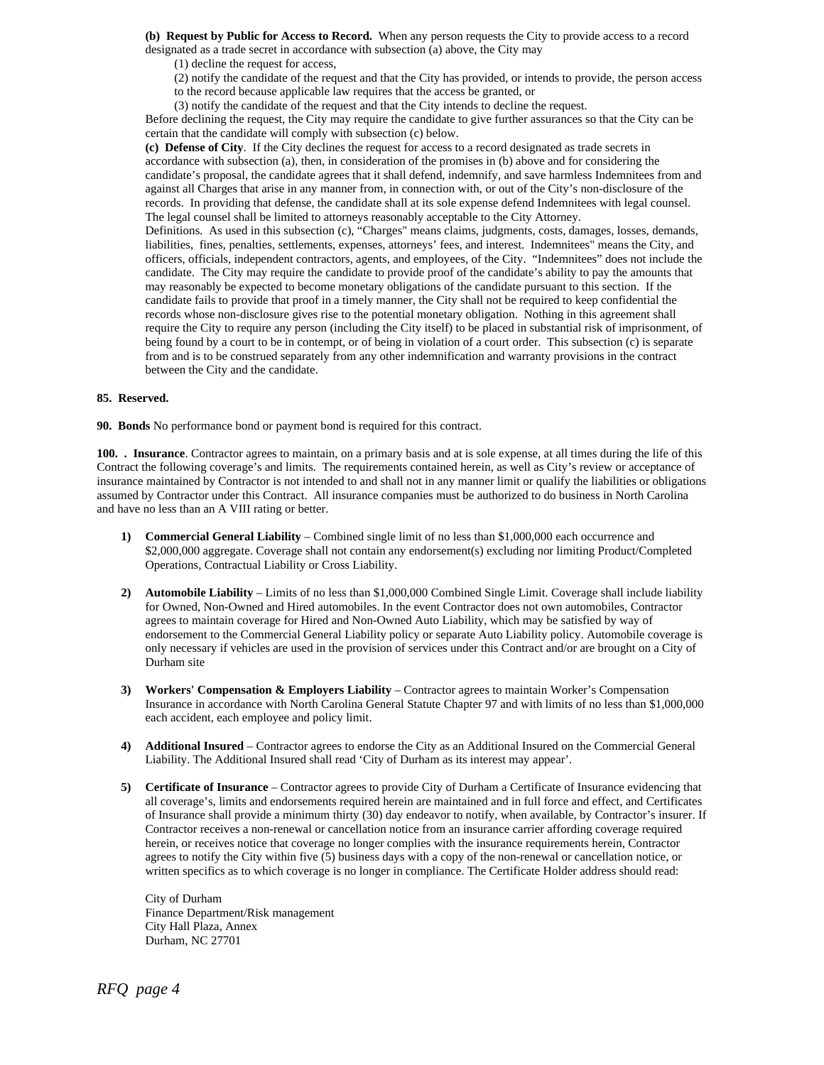**(b) Request by Public for Access to Record.** When any person requests the City to provide access to a record designated as a trade secret in accordance with subsection (a) above, the City may

(1) decline the request for access,

(2) notify the candidate of the request and that the City has provided, or intends to provide, the person access

to the record because applicable law requires that the access be granted, or

(3) notify the candidate of the request and that the City intends to decline the request.

Before declining the request, the City may require the candidate to give further assurances so that the City can be certain that the candidate will comply with subsection (c) below.

**(c) Defense of City**. If the City declines the request for access to a record designated as trade secrets in accordance with subsection (a), then, in consideration of the promises in (b) above and for considering the candidate's proposal, the candidate agrees that it shall defend, indemnify, and save harmless Indemnitees from and against all Charges that arise in any manner from, in connection with, or out of the City's non-disclosure of the records. In providing that defense, the candidate shall at its sole expense defend Indemnitees with legal counsel. The legal counsel shall be limited to attorneys reasonably acceptable to the City Attorney.

Definitions. As used in this subsection (c), "Charges" means claims, judgments, costs, damages, losses, demands, liabilities, fines, penalties, settlements, expenses, attorneys' fees, and interest. Indemnitees" means the City, and officers, officials, independent contractors, agents, and employees, of the City. "Indemnitees" does not include the candidate. The City may require the candidate to provide proof of the candidate's ability to pay the amounts that may reasonably be expected to become monetary obligations of the candidate pursuant to this section. If the candidate fails to provide that proof in a timely manner, the City shall not be required to keep confidential the records whose non-disclosure gives rise to the potential monetary obligation. Nothing in this agreement shall require the City to require any person (including the City itself) to be placed in substantial risk of imprisonment, of being found by a court to be in contempt, or of being in violation of a court order. This subsection (c) is separate from and is to be construed separately from any other indemnification and warranty provisions in the contract between the City and the candidate.

#### **85. Reserved.**

**90. Bonds** No performance bond or payment bond is required for this contract.

**100. . Insurance**. Contractor agrees to maintain, on a primary basis and at is sole expense, at all times during the life of this Contract the following coverage's and limits. The requirements contained herein, as well as City's review or acceptance of insurance maintained by Contractor is not intended to and shall not in any manner limit or qualify the liabilities or obligations assumed by Contractor under this Contract. All insurance companies must be authorized to do business in North Carolina and have no less than an A VIII rating or better.

- **1) Commercial General Liability** Combined single limit of no less than \$1,000,000 each occurrence and \$2,000,000 aggregate. Coverage shall not contain any endorsement(s) excluding nor limiting Product/Completed Operations, Contractual Liability or Cross Liability.
- **2) Automobile Liability** Limits of no less than \$1,000,000 Combined Single Limit. Coverage shall include liability for Owned, Non-Owned and Hired automobiles. In the event Contractor does not own automobiles, Contractor agrees to maintain coverage for Hired and Non-Owned Auto Liability, which may be satisfied by way of endorsement to the Commercial General Liability policy or separate Auto Liability policy. Automobile coverage is only necessary if vehicles are used in the provision of services under this Contract and/or are brought on a City of Durham site
- **3) Workers' Compensation & Employers Liability** Contractor agrees to maintain Worker's Compensation Insurance in accordance with North Carolina General Statute Chapter 97 and with limits of no less than \$1,000,000 each accident, each employee and policy limit.
- **4) Additional Insured**  Contractor agrees to endorse the City as an Additional Insured on the Commercial General Liability. The Additional Insured shall read 'City of Durham as its interest may appear'.
- **5) Certificate of Insurance** Contractor agrees to provide City of Durham a Certificate of Insurance evidencing that all coverage's, limits and endorsements required herein are maintained and in full force and effect, and Certificates of Insurance shall provide a minimum thirty (30) day endeavor to notify, when available, by Contractor's insurer. If Contractor receives a non-renewal or cancellation notice from an insurance carrier affording coverage required herein, or receives notice that coverage no longer complies with the insurance requirements herein, Contractor agrees to notify the City within five (5) business days with a copy of the non-renewal or cancellation notice, or written specifics as to which coverage is no longer in compliance. The Certificate Holder address should read:

City of Durham Finance Department/Risk management City Hall Plaza, Annex Durham, NC 27701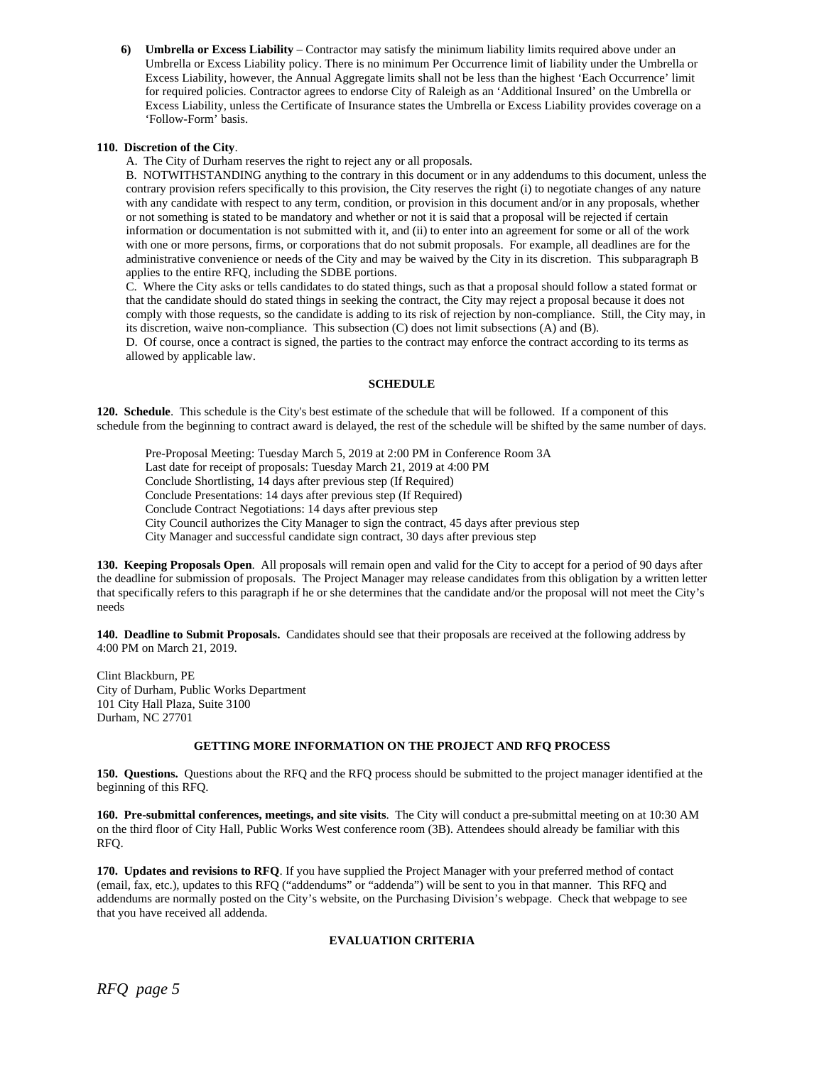**6) Umbrella or Excess Liability** – Contractor may satisfy the minimum liability limits required above under an Umbrella or Excess Liability policy. There is no minimum Per Occurrence limit of liability under the Umbrella or Excess Liability, however, the Annual Aggregate limits shall not be less than the highest 'Each Occurrence' limit for required policies. Contractor agrees to endorse City of Raleigh as an 'Additional Insured' on the Umbrella or Excess Liability, unless the Certificate of Insurance states the Umbrella or Excess Liability provides coverage on a 'Follow-Form' basis.

#### **110. Discretion of the City**.

A. The City of Durham reserves the right to reject any or all proposals.

B. NOTWITHSTANDING anything to the contrary in this document or in any addendums to this document, unless the contrary provision refers specifically to this provision, the City reserves the right (i) to negotiate changes of any nature with any candidate with respect to any term, condition, or provision in this document and/or in any proposals, whether or not something is stated to be mandatory and whether or not it is said that a proposal will be rejected if certain information or documentation is not submitted with it, and (ii) to enter into an agreement for some or all of the work with one or more persons, firms, or corporations that do not submit proposals. For example, all deadlines are for the administrative convenience or needs of the City and may be waived by the City in its discretion. This subparagraph B applies to the entire RFQ, including the SDBE portions.

C. Where the City asks or tells candidates to do stated things, such as that a proposal should follow a stated format or that the candidate should do stated things in seeking the contract, the City may reject a proposal because it does not comply with those requests, so the candidate is adding to its risk of rejection by non-compliance. Still, the City may, in its discretion, waive non-compliance. This subsection (C) does not limit subsections (A) and (B).

D. Of course, once a contract is signed, the parties to the contract may enforce the contract according to its terms as allowed by applicable law.

# **SCHEDULE**

**120. Schedule**. This schedule is the City's best estimate of the schedule that will be followed. If a component of this schedule from the beginning to contract award is delayed, the rest of the schedule will be shifted by the same number of days.

Pre-Proposal Meeting: Tuesday March 5, 2019 at 2:00 PM in Conference Room 3A Last date for receipt of proposals: Tuesday March 21, 2019 at 4:00 PM Conclude Shortlisting, 14 days after previous step (If Required) Conclude Presentations: 14 days after previous step (If Required) Conclude Contract Negotiations: 14 days after previous step City Council authorizes the City Manager to sign the contract, 45 days after previous step City Manager and successful candidate sign contract, 30 days after previous step

**130. Keeping Proposals Open**. All proposals will remain open and valid for the City to accept for a period of 90 days after the deadline for submission of proposals. The Project Manager may release candidates from this obligation by a written letter that specifically refers to this paragraph if he or she determines that the candidate and/or the proposal will not meet the City's needs

**140. Deadline to Submit Proposals.** Candidates should see that their proposals are received at the following address by 4:00 PM on March 21, 2019.

Clint Blackburn, PE City of Durham, Public Works Department 101 City Hall Plaza, Suite 3100 Durham, NC 27701

#### **GETTING MORE INFORMATION ON THE PROJECT AND RFQ PROCESS**

**150. Questions.** Questions about the RFQ and the RFQ process should be submitted to the project manager identified at the beginning of this RFQ.

**160. Pre-submittal conferences, meetings, and site visits**. The City will conduct a pre-submittal meeting on at 10:30 AM on the third floor of City Hall, Public Works West conference room (3B). Attendees should already be familiar with this RFQ.

**170. Updates and revisions to RFQ**. If you have supplied the Project Manager with your preferred method of contact (email, fax, etc.), updates to this RFQ ("addendums" or "addenda") will be sent to you in that manner. This RFQ and addendums are normally posted on the City's website, on the Purchasing Division's webpage. Check that webpage to see that you have received all addenda.

# **EVALUATION CRITERIA**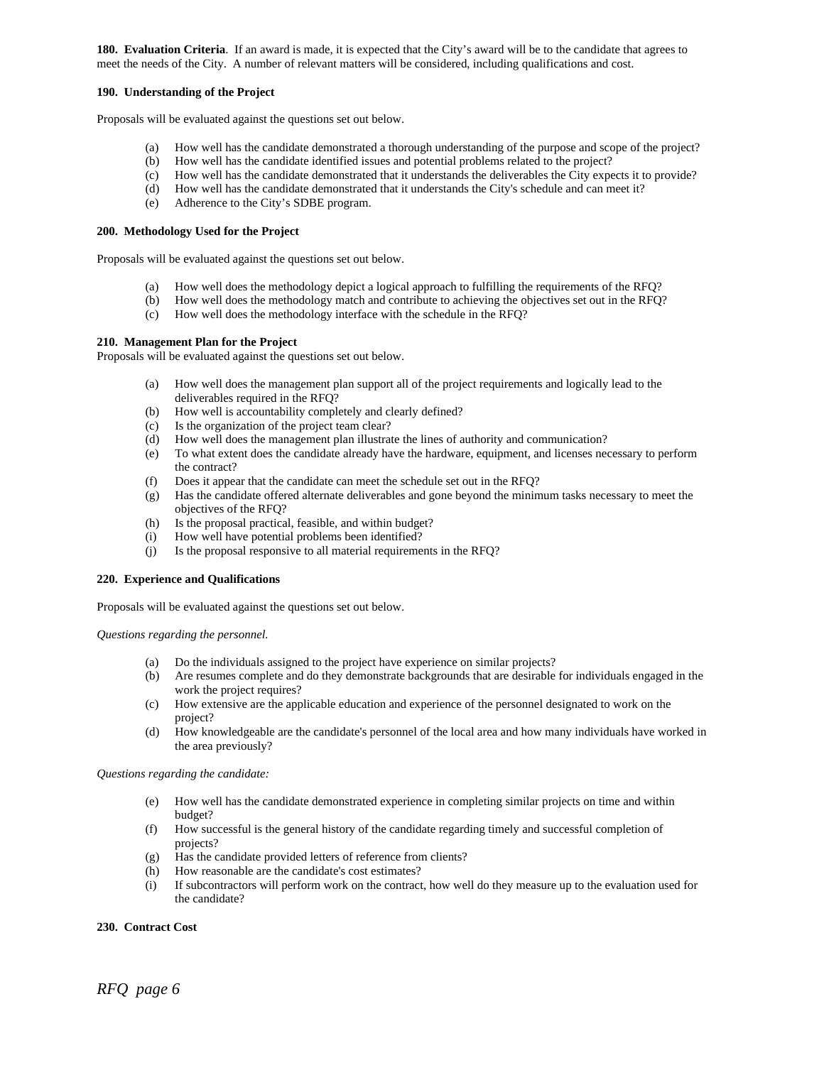**180. Evaluation Criteria.** If an award is made, it is expected that the City's award will be to the candidate that agrees to meet the needs of the City. A number of relevant matters will be considered, including qualifications and cost.

#### **190. Understanding of the Project**

Proposals will be evaluated against the questions set out below.

- (a) How well has the candidate demonstrated a thorough understanding of the purpose and scope of the project?
- (b) How well has the candidate identified issues and potential problems related to the project?
- (c) How well has the candidate demonstrated that it understands the deliverables the City expects it to provide?
- (d) How well has the candidate demonstrated that it understands the City's schedule and can meet it?
- (e) Adherence to the City's SDBE program.

# **200. Methodology Used for the Project**

Proposals will be evaluated against the questions set out below.

- (a) How well does the methodology depict a logical approach to fulfilling the requirements of the RFQ?
- (b) How well does the methodology match and contribute to achieving the objectives set out in the RFQ?
- (c) How well does the methodology interface with the schedule in the RFQ?

#### **210. Management Plan for the Project**

Proposals will be evaluated against the questions set out below.

- (a) How well does the management plan support all of the project requirements and logically lead to the deliverables required in the RFQ?
- (b) How well is accountability completely and clearly defined?
- (c) Is the organization of the project team clear?
- (d) How well does the management plan illustrate the lines of authority and communication?
- (e) To what extent does the candidate already have the hardware, equipment, and licenses necessary to perform the contract?
- 
- (f) Does it appear that the candidate can meet the schedule set out in the RFQ?<br>(g) Has the candidate offered alternate deliverables and gone beyond the minim Has the candidate offered alternate deliverables and gone beyond the minimum tasks necessary to meet the objectives of the RFQ?
- (h) Is the proposal practical, feasible, and within budget?
- (i) How well have potential problems been identified?
- (j) Is the proposal responsive to all material requirements in the RFQ?

#### **220. Experience and Qualifications**

Proposals will be evaluated against the questions set out below.

#### *Questions regarding the personnel.*

- (a) Do the individuals assigned to the project have experience on similar projects?
- (b) Are resumes complete and do they demonstrate backgrounds that are desirable for individuals engaged in the work the project requires?
- (c) How extensive are the applicable education and experience of the personnel designated to work on the project?
- (d) How knowledgeable are the candidate's personnel of the local area and how many individuals have worked in the area previously?

#### *Questions regarding the candidate:*

- (e) How well has the candidate demonstrated experience in completing similar projects on time and within budget?
- (f) How successful is the general history of the candidate regarding timely and successful completion of projects?
- (g) Has the candidate provided letters of reference from clients?<br>(h) How reasonable are the candidate's cost estimates?
- How reasonable are the candidate's cost estimates?
- (i) If subcontractors will perform work on the contract, how well do they measure up to the evaluation used for the candidate?

#### **230. Contract Cost**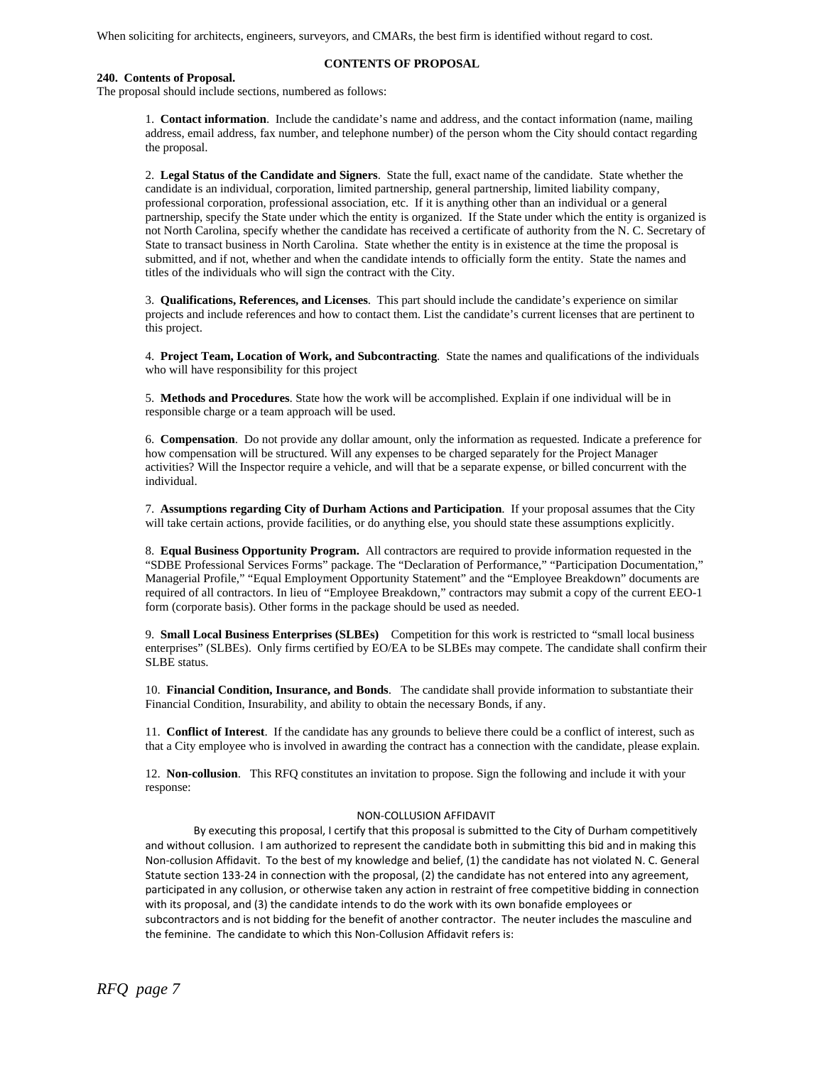When soliciting for architects, engineers, surveyors, and CMARs, the best firm is identified without regard to cost.

# **240. Contents of Proposal.**

# **CONTENTS OF PROPOSAL**

The proposal should include sections, numbered as follows:

1. **Contact information**. Include the candidate's name and address, and the contact information (name, mailing address, email address, fax number, and telephone number) of the person whom the City should contact regarding the proposal.

2. **Legal Status of the Candidate and Signers**. State the full, exact name of the candidate. State whether the candidate is an individual, corporation, limited partnership, general partnership, limited liability company, professional corporation, professional association, etc. If it is anything other than an individual or a general partnership, specify the State under which the entity is organized. If the State under which the entity is organized is not North Carolina, specify whether the candidate has received a certificate of authority from the N. C. Secretary of State to transact business in North Carolina. State whether the entity is in existence at the time the proposal is submitted, and if not, whether and when the candidate intends to officially form the entity. State the names and titles of the individuals who will sign the contract with the City.

3. **Qualifications, References, and Licenses**. This part should include the candidate's experience on similar projects and include references and how to contact them. List the candidate's current licenses that are pertinent to this project.

4. **Project Team, Location of Work, and Subcontracting**. State the names and qualifications of the individuals who will have responsibility for this project

5. **Methods and Procedures**. State how the work will be accomplished. Explain if one individual will be in responsible charge or a team approach will be used.

6. **Compensation**. Do not provide any dollar amount, only the information as requested. Indicate a preference for how compensation will be structured. Will any expenses to be charged separately for the Project Manager activities? Will the Inspector require a vehicle, and will that be a separate expense, or billed concurrent with the individual.

7. **Assumptions regarding City of Durham Actions and Participation**. If your proposal assumes that the City will take certain actions, provide facilities, or do anything else, you should state these assumptions explicitly.

8. **Equal Business Opportunity Program.** All contractors are required to provide information requested in the "SDBE Professional Services Forms" package. The "Declaration of Performance," "Participation Documentation," Managerial Profile," "Equal Employment Opportunity Statement" and the "Employee Breakdown" documents are required of all contractors. In lieu of "Employee Breakdown," contractors may submit a copy of the current EEO-1 form (corporate basis). Other forms in the package should be used as needed.

9. **Small Local Business Enterprises (SLBEs)** Competition for this work is restricted to "small local business enterprises" (SLBEs). Only firms certified by EO/EA to be SLBEs may compete. The candidate shall confirm their SLBE status.

10. **Financial Condition, Insurance, and Bonds**. The candidate shall provide information to substantiate their Financial Condition, Insurability, and ability to obtain the necessary Bonds, if any.

11. **Conflict of Interest**. If the candidate has any grounds to believe there could be a conflict of interest, such as that a City employee who is involved in awarding the contract has a connection with the candidate, please explain.

12. **Non-collusion**. This RFQ constitutes an invitation to propose. Sign the following and include it with your response:

#### NON‐COLLUSION AFFIDAVIT

By executing this proposal, I certify that this proposal is submitted to the City of Durham competitively and without collusion. I am authorized to represent the candidate both in submitting this bid and in making this Non‐collusion Affidavit. To the best of my knowledge and belief, (1) the candidate has not violated N. C. General Statute section 133‐24 in connection with the proposal, (2) the candidate has not entered into any agreement, participated in any collusion, or otherwise taken any action in restraint of free competitive bidding in connection with its proposal, and (3) the candidate intends to do the work with its own bonafide employees or subcontractors and is not bidding for the benefit of another contractor. The neuter includes the masculine and the feminine. The candidate to which this Non‐Collusion Affidavit refers is: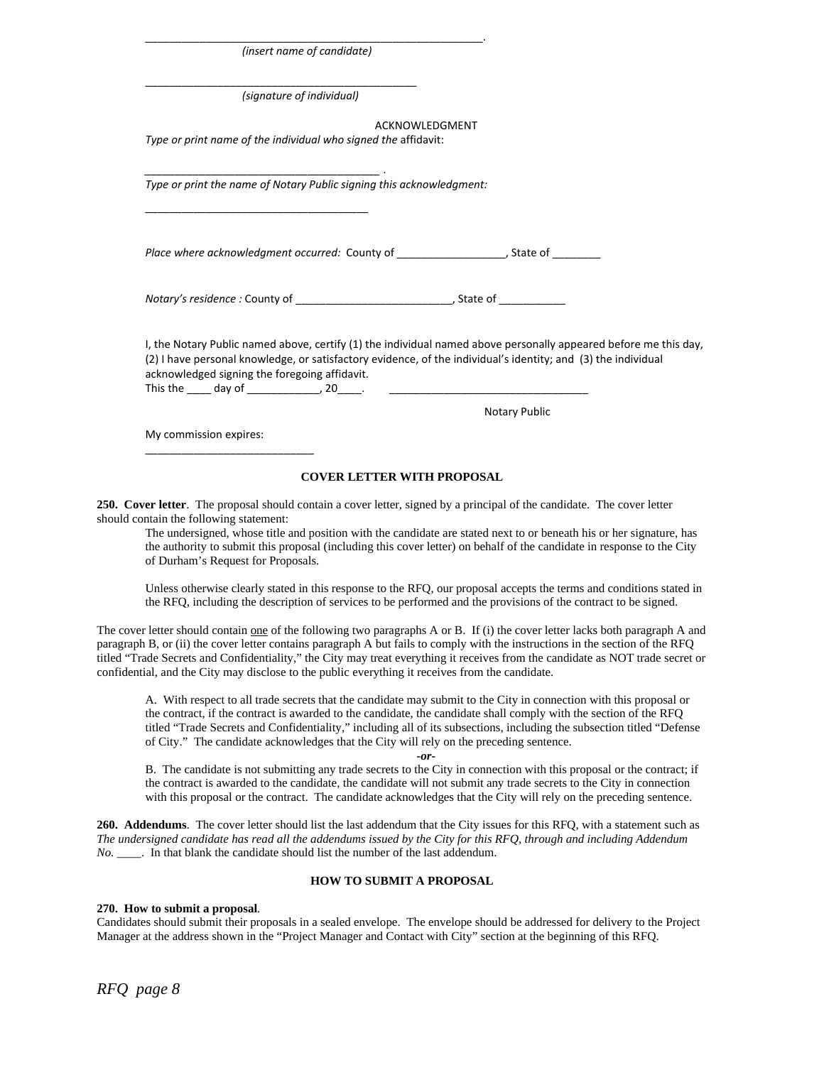| (insert name of candidate)                                                                                                                                     |                                                                                                                  |
|----------------------------------------------------------------------------------------------------------------------------------------------------------------|------------------------------------------------------------------------------------------------------------------|
| (signature of individual)                                                                                                                                      |                                                                                                                  |
|                                                                                                                                                                | ACKNOWLEDGMENT                                                                                                   |
| Type or print name of the individual who signed the affidavit:                                                                                                 |                                                                                                                  |
| Type or print the name of Notary Public signing this acknowledgment:                                                                                           |                                                                                                                  |
|                                                                                                                                                                |                                                                                                                  |
| Notary's residence: County of __________________________________, State of ____________                                                                        |                                                                                                                  |
| (2) I have personal knowledge, or satisfactory evidence, of the individual's identity; and (3) the individual<br>acknowledged signing the foregoing affidavit. | I, the Notary Public named above, certify (1) the individual named above personally appeared before me this day, |
|                                                                                                                                                                | Notary Public                                                                                                    |
| My commission expires:                                                                                                                                         |                                                                                                                  |
|                                                                                                                                                                |                                                                                                                  |

\_\_\_\_\_\_\_\_\_\_\_\_\_\_\_\_\_\_\_\_\_\_\_\_\_\_\_\_\_\_\_\_\_\_\_\_\_\_\_\_\_\_\_\_\_\_\_\_\_\_\_\_\_\_\_\_.

#### **COVER LETTER WITH PROPOSAL**

**250. Cover letter**. The proposal should contain a cover letter, signed by a principal of the candidate. The cover letter should contain the following statement:

The undersigned, whose title and position with the candidate are stated next to or beneath his or her signature, has the authority to submit this proposal (including this cover letter) on behalf of the candidate in response to the City of Durham's Request for Proposals.

Unless otherwise clearly stated in this response to the RFQ, our proposal accepts the terms and conditions stated in the RFQ, including the description of services to be performed and the provisions of the contract to be signed.

The cover letter should contain one of the following two paragraphs A or B. If (i) the cover letter lacks both paragraph A and paragraph B, or (ii) the cover letter contains paragraph A but fails to comply with the instructions in the section of the RFQ titled "Trade Secrets and Confidentiality," the City may treat everything it receives from the candidate as NOT trade secret or confidential, and the City may disclose to the public everything it receives from the candidate.

A. With respect to all trade secrets that the candidate may submit to the City in connection with this proposal or the contract, if the contract is awarded to the candidate, the candidate shall comply with the section of the RFQ titled "Trade Secrets and Confidentiality," including all of its subsections, including the subsection titled "Defense of City." The candidate acknowledges that the City will rely on the preceding sentence.

*-or-*

B. The candidate is not submitting any trade secrets to the City in connection with this proposal or the contract; if the contract is awarded to the candidate, the candidate will not submit any trade secrets to the City in connection with this proposal or the contract. The candidate acknowledges that the City will rely on the preceding sentence.

**260. Addendums**. The cover letter should list the last addendum that the City issues for this RFQ, with a statement such as *The undersigned candidate has read all the addendums issued by the City for this RFQ, through and including Addendum No.* \_\_\_\_. In that blank the candidate should list the number of the last addendum.

#### **HOW TO SUBMIT A PROPOSAL**

# **270. How to submit a proposal**.

Candidates should submit their proposals in a sealed envelope. The envelope should be addressed for delivery to the Project Manager at the address shown in the "Project Manager and Contact with City" section at the beginning of this RFQ.